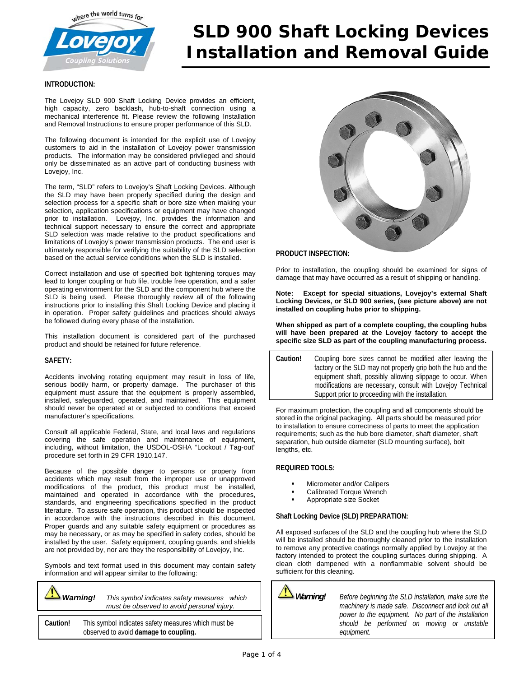where the world turns for



# Ì  $\overline{\phantom{a}}$ **SLD 900 Shaft Locking Devices Installation and Removal Guide**

### **INTRODUCTION:**

The Lovejoy SLD 900 Shaft Locking Device provides an efficient, high capacity, zero backlash, hub-to-shaft connection using a mechanical interference fit. Please review the following Installation and Removal Instructions to ensure proper performance of this SLD.

The following document is intended for the explicit use of Lovejoy customers to aid in the installation of Lovejoy power transmission products. The information may be considered privileged and should only be disseminated as an active part of conducting business with Lovejoy, Inc.

The term, "SLD" refers to Lovejoy's Shaft Locking Devices. Although the SLD may have been properly specified during the design and selection process for a specific shaft or bore size when making your selection, application specifications or equipment may have changed prior to installation. Lovejoy, Inc. provides the information and technical support necessary to ensure the correct and appropriate SLD selection was made relative to the product specifications and limitations of Lovejoy's power transmission products. The end user is ultimately responsible for verifying the suitability of the SLD selection based on the actual service conditions when the SLD is installed.

Correct installation and use of specified bolt tightening torques may lead to longer coupling or hub life, trouble free operation, and a safer operating environment for the SLD and the component hub where the SLD is being used. Please thoroughly review all of the following instructions prior to installing this Shaft Locking Device and placing it in operation. Proper safety guidelines and practices should always be followed during every phase of the installation.

This installation document is considered part of the purchased product and should be retained for future reference.

#### **SAFETY:**

Accidents involving rotating equipment may result in loss of life, serious bodily harm, or property damage. The purchaser of this equipment must assure that the equipment is properly assembled, installed, safeguarded, operated, and maintained. This equipment should never be operated at or subjected to conditions that exceed manufacturer's specifications.

Consult all applicable Federal, State, and local laws and regulations covering the safe operation and maintenance of equipment, including, without limitation, the USDOL-OSHA "Lockout / Tag-out" procedure set forth in 29 CFR 1910.147.

Because of the possible danger to persons or property from accidents which may result from the improper use or unapproved modifications of the product, this product must be installed, maintained and operated in accordance with the procedures, standards, and engineering specifications specified in the product literature. To assure safe operation, this product should be inspected in accordance with the instructions described in this document. Proper guards and any suitable safety equipment or procedures as may be necessary, or as may be specified in safety codes, should be installed by the user. Safety equipment, coupling guards, and shields are not provided by, nor are they the responsibility of Lovejoy, Inc.

Symbols and text format used in this document may contain safety information and will appear similar to the following:



**PRODUCT INSPECTION:**

Prior to installation, the coupling should be examined for signs of damage that may have occurred as a result of shipping or handling.

**Note: Except for special situations, Lovejoy's external Shaft Locking Devices, or SLD 900 series, (see picture above) are not installed on coupling hubs prior to shipping.** 

**When shipped as part of a complete coupling, the coupling hubs will have been prepared at the Lovejoy factory to accept the specific size SLD as part of the coupling manufacturing process.** 

**Caution!** Coupling bore sizes cannot be modified after leaving the factory or the SLD may not properly grip both the hub and the equipment shaft, possibly allowing slippage to occur. When modifications are necessary, consult with Lovejoy Technical Support prior to proceeding with the installation.

For maximum protection, the coupling and all components should be stored in the original packaging. All parts should be measured prior to installation to ensure correctness of parts to meet the application requirements; such as the hub bore diameter, shaft diameter, shaft separation, hub outside diameter (SLD mounting surface), bolt lengths, etc.

#### **REQUIRED TOOLS:**

- Micrometer and/or Calipers
- Calibrated Torque Wrench
- Appropriate size Socket

#### **Shaft Locking Device (SLD) PREPARATION:**

All exposed surfaces of the SLD and the coupling hub where the SLD will be installed should be thoroughly cleaned prior to the installation to remove any protective coatings normally applied by Lovejoy at the factory intended to protect the coupling surfaces during shipping. A clean cloth dampened with a nonflammable solvent should be sufficient for this cleaning.



*Warning! Before beginning the SLD installation, make sure the machinery is made safe. Disconnect and lock out all power to the equipment. No part of the installation should be performed on moving or unstable equipment.*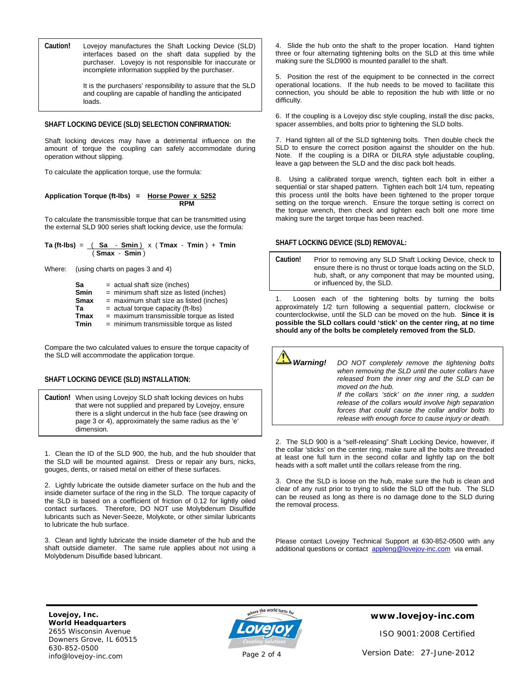**Caution!** Lovejoy manufactures the Shaft Locking Device (SLD) interfaces based on the shaft data supplied by the purchaser. Lovejoy is not responsible for inaccurate or incomplete information supplied by the purchaser.

> It is the purchasers' responsibility to assure that the SLD and coupling are capable of handling the anticipated loads.

#### **SHAFT LOCKING DEVICE (SLD) SELECTION CONFIRMATION:**

Shaft locking devices may have a detrimental influence on the amount of torque the coupling can safely accommodate during operation without slipping.

To calculate the application torque, use the formula:

**Application Torque (ft-lbs) = Horse Power x 5252**  *RPM* 

To calculate the transmissible torque that can be transmitted using the external SLD 900 series shaft locking device, use the formula:

 $Ta$  (ft-lbs) =  $( Sa - Simin) \times ( Tamax - Tmin) + Tmin$ ( **Smax** - **Smin** )

Where: (using charts on pages 3 and 4)

| $=$ actual shaft size (inches)<br>$=$ minimum shaft size as listed (inches)<br>$=$ maximum shaft size as listed (inches)<br>$=$ actual torque capacity (ft-lbs)<br>$=$ maximum transmissible torque as listed<br>= minimum transmissible torque as listed |
|-----------------------------------------------------------------------------------------------------------------------------------------------------------------------------------------------------------------------------------------------------------|
|                                                                                                                                                                                                                                                           |

Compare the two calculated values to ensure the torque capacity of the SLD will accommodate the application torque.

#### **SHAFT LOCKING DEVICE (SLD) INSTALLATION:**

**Caution!** When using Lovejoy SLD shaft locking devices on hubs that were not supplied and prepared by Lovejoy, ensure there is a slight undercut in the hub face (see drawing on page 3 or 4), approximately the same radius as the 'e' dimension.

1. Clean the ID of the SLD 900, the hub, and the hub shoulder that the SLD will be mounted against. Dress or repair any burs, nicks, gouges, dents, or raised metal on either of these surfaces.

2. Lightly lubricate the outside diameter surface on the hub and the inside diameter surface of the ring in the SLD. The torque capacity of the SLD is based on a coefficient of friction of 0.12 for lightly oiled contact surfaces. Therefore, DO NOT use Molybdenum Disulfide lubricants such as Never-Seeze, Molykote, or other similar lubricants to lubricate the hub surface.

3. Clean and lightly lubricate the inside diameter of the hub and the shaft outside diameter. The same rule applies about not using a Molybdenum Disulfide based lubricant.

4. Slide the hub onto the shaft to the proper location. Hand tighten three or four alternating tightening bolts on the SLD at this time while making sure the SLD900 is mounted parallel to the shaft.

5. Position the rest of the equipment to be connected in the correct operational locations. If the hub needs to be moved to facilitate this connection, you should be able to reposition the hub with little or no difficulty.

6. If the coupling is a Lovejoy disc style coupling, install the disc packs, spacer assemblies, and bolts prior to tightening the SLD bolts.

7. Hand tighten all of the SLD tightening bolts. Then double check the SLD to ensure the correct position against the shoulder on the hub. Note. If the coupling is a DIRA or DILRA style adjustable coupling, leave a gap between the SLD and the disc pack bolt heads.

8. Using a calibrated torque wrench, tighten each bolt in either a sequential or star shaped pattern. Tighten each bolt 1/4 turn, repeating this process until the bolts have been tightened to the proper torque setting on the torque wrench. Ensure the torque setting is correct on the torque wrench, then check and tighten each bolt one more time making sure the target torque has been reached.

#### **SHAFT LOCKING DEVICE (SLD) REMOVAL:**

**Caution!** Prior to removing any SLD Shaft Locking Device, check to ensure there is no thrust or torque loads acting on the SLD, hub, shaft, or any component that may be mounted using, or influenced by, the SLD.

1. Loosen each of the tightening bolts by turning the bolts approximately 1/2 turn following a sequential pattern, clockwise or counterclockwise, until the SLD can be moved on the hub. **Since it is possible the SLD collars could 'stick' on the center ring, at no time should any of the bolts be completely removed from the SLD.** 

*Warning! DO NOT completely remove the tightening bolts when removing the SLD until the outer collars have released from the inner ring and the SLD can be moved on the hub. If the collars 'stick' on the inner ring, a sudden release of the collars would involve high separation forces that could cause the collar and/or bolts to release with enough force to cause injury or death.* 

2. The SLD 900 is a "self-releasing" Shaft Locking Device, however, if the collar 'sticks' on the center ring, make sure all the bolts are threaded at least one full turn in the second collar and lightly tap on the bolt heads with a soft mallet until the collars release from the ring.

3. Once the SLD is loose on the hub, make sure the hub is clean and clear of any rust prior to trying to slide the SLD off the hub. The SLD can be reused as long as there is no damage done to the SLD during the removal process.

Please contact Lovejoy Technical Support at 630-852-0500 with any additional questions or contact appleng@lovejoy-inc.com via email.

**Lovejoy, Inc. World Headquarters**  2655 Wisconsin Avenue Downers Grove, IL 60515 630-852-0500 info@lovejoy-inc.com



**www.lovejoy-inc.com**

ISO 9001:2008 Certified

Version Date: 27-June-2012

Page 2 of 4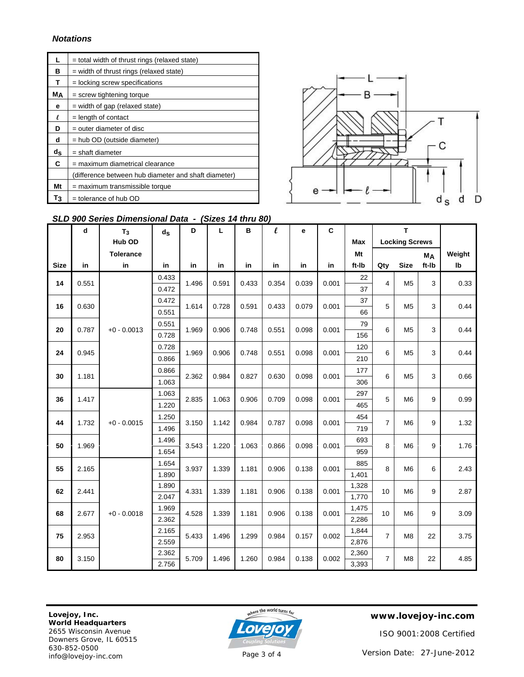# *Notations*

|                  | = total width of thrust rings (relaxed state)        |
|------------------|------------------------------------------------------|
| в                | $=$ width of thrust rings (relaxed state)            |
| т                | = locking screw specifications                       |
| Mд               | $=$ screw tightening torque                          |
| е                | $=$ width of gap (relaxed state)                     |
| l.               | $=$ length of contact                                |
| D                | $=$ outer diameter of disc                           |
| d                | $=$ hub OD (outside diameter)                        |
| $d_{\mathbf{S}}$ | $=$ shaft diameter                                   |
| C                | $=$ maximum diametrical clearance                    |
|                  | (difference between hub diameter and shaft diameter) |
| Mt               | = maximum transmissible torque                       |
| Т3               | = tolerance of hub OD                                |



*SLD 900 Series Dimensional Data - (Sizes 14 thru 80)* 

|             | d     | $T_3$            | $d_{\mathbf{S}}$ | D     | г     | B     | $\boldsymbol{\ell}$ | е     | C     |            | T.                    |                |       |        |
|-------------|-------|------------------|------------------|-------|-------|-------|---------------------|-------|-------|------------|-----------------------|----------------|-------|--------|
|             |       | Hub OD           |                  |       |       |       |                     |       |       | <b>Max</b> | <b>Locking Screws</b> |                |       |        |
|             |       | <b>Tolerance</b> |                  |       |       |       |                     |       |       | Mt         |                       |                | Mд    | Weight |
| <b>Size</b> | in    | in               | in               | in    | in    | in    | in                  | in    | in    | ft-Ib      | Qty                   | <b>Size</b>    | ft-Ib | lb     |
| 14          | 0.551 |                  | 0.433            | 1.496 | 0.591 | 0.433 | 0.354               | 0.039 | 0.001 | 22         | 4                     | M <sub>5</sub> | 3     | 0.33   |
|             |       |                  | 0.472            |       |       |       |                     |       |       | 37         |                       |                |       |        |
|             |       |                  | 0.472            |       |       |       |                     |       |       | 37         | 5                     |                |       |        |
| 16          | 0.630 |                  | 0.551            | 1.614 | 0.728 | 0.591 | 0.433               | 0.079 | 0.001 | 66         |                       | M <sub>5</sub> | 3     | 0.44   |
| 20          | 0.787 | $+0 - 0.0013$    | 0.551            | 1.969 | 0.906 | 0.748 | 0.551               | 0.098 | 0.001 | 79         | 6                     | M <sub>5</sub> | 3     | 0.44   |
|             |       |                  | 0.728            |       |       |       |                     |       |       | 156        |                       |                |       |        |
| 24          | 0.945 |                  | 0.728            | 1.969 | 0.906 | 0.748 | 0.551               | 0.098 | 0.001 | 120        | 6                     | M <sub>5</sub> | 3     | 0.44   |
|             |       |                  | 0.866            |       |       |       |                     |       |       | 210        |                       |                |       |        |
| 30          | 1.181 |                  | 0.866            | 2.362 | 0.984 | 0.827 | 0.630               | 0.098 | 0.001 | 177        | 6                     | M <sub>5</sub> | 3     | 0.66   |
|             |       |                  | 1.063            |       |       |       |                     |       |       | 306        |                       |                |       |        |
| 36          | 1.417 |                  | 1.063            | 2.835 | 1.063 | 0.906 | 0.709               | 0.098 | 0.001 | 297        | 5                     | M <sub>6</sub> | 9     | 0.99   |
|             |       |                  | 1.220            |       |       |       |                     |       |       | 465        |                       |                |       |        |
| 44          | 1.732 | $+0 - 0.0015$    | 1.250            | 3.150 | 1.142 | 0.984 | 0.787               | 0.098 | 0.001 | 454        | $\overline{7}$        | M <sub>6</sub> | 9     | 1.32   |
|             |       |                  | 1.496            |       |       |       |                     |       |       | 719        |                       |                |       |        |
| 50          | 1.969 |                  | 1.496            | 3.543 | 1.220 | 1.063 | 0.866               | 0.098 | 0.001 | 693        | 8                     | M <sub>6</sub> | 9     | 1.76   |
|             |       |                  | 1.654            |       |       |       |                     |       |       | 959        |                       |                |       |        |
| 55          | 2.165 |                  | 1.654            | 3.937 | 1.339 | 1.181 | 0.906               | 0.138 | 0.001 | 885        | 8                     | M <sub>6</sub> | 6     | 2.43   |
|             |       |                  | 1.890            |       |       |       |                     |       |       | 1,401      |                       |                |       |        |
| 62          | 2.441 |                  | 1.890            | 4.331 | 1.339 | 1.181 | 0.906               | 0.138 | 0.001 | 1,328      | 10                    | M <sub>6</sub> | 9     | 2.87   |
|             |       |                  | 2.047            |       |       |       |                     |       |       | 1,770      |                       |                |       |        |
| 68          | 2.677 | $+0 - 0.0018$    | 1.969            | 4.528 | 1.339 | 1.181 | 0.906               | 0.138 | 0.001 | 1,475      | 10 <sup>10</sup>      | M <sub>6</sub> | 9     | 3.09   |
|             |       |                  | 2.362            |       |       |       |                     |       |       | 2,286      |                       |                |       |        |
| 75          | 2.953 |                  | 2.165            | 5.433 | 1.496 | 1.299 | 0.984               | 0.157 | 0.002 | 1,844      | $\overline{7}$        | M <sub>8</sub> | 22    | 3.75   |
|             |       |                  | 2.559            |       |       |       |                     |       |       | 2,876      |                       |                |       |        |
| 80          | 3.150 |                  | 2.362            | 5.709 | 1.496 | 1.260 | 0.984               | 0.138 | 0.002 | 2,360      | $\overline{7}$        | M <sub>8</sub> | 22    | 4.85   |
|             |       |                  | 2.756            |       |       |       |                     |       |       | 3,393      |                       |                |       |        |



**www.lovejoy-inc.com**

ISO 9001:2008 Certified

Version Date: 27-June-2012

Page 3 of 4